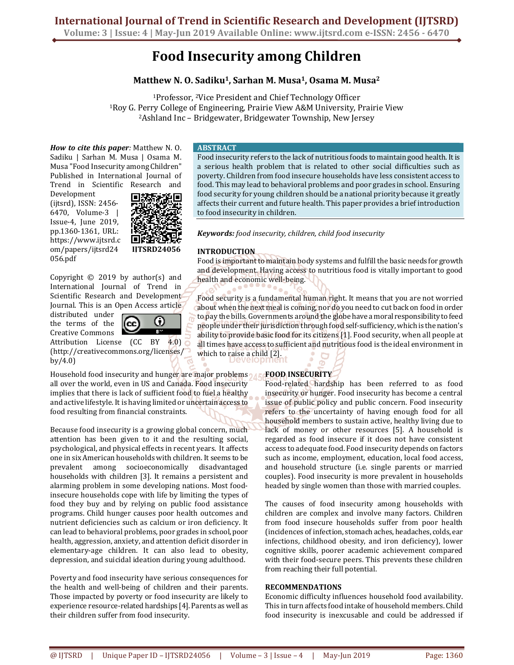# **Food Insecurity among Children**

# **Matthew N. O. Sadiku1, Sarhan M. Musa1, Osama M. Musa<sup>2</sup>**

<sup>1</sup>Professor, 2Vice President and Chief Technology Officer <sup>1</sup>Roy G. Perry College of Engineering, Prairie View A&M University, Prairie View <sup>2</sup>Ashland Inc – Bridgewater, Bridgewater Township, New Jersey

*How to cite this paper:* Matthew N. O. Sadiku | Sarhan M. Musa | Osama M. Musa "Food Insecurity among Children" Published in International Journal of Trend in Scientific Research and

Development (ijtsrd), ISSN: 2456- 6470, Volume-3 | Issue-4, June 2019, pp.1360-1361, URL: https://www.ijtsrd.c om/papers/ijtsrd24 056.pdf



Copyright © 2019 by author(s) and International Journal of Trend in Scientific Research and Development Journal. This is an Open Access article

distributed under the terms of the Creative Commons



Attribution License (CC BY 4.0) (http://creativecommons.org/licenses/ by/4.0)

Household food insecurity and hunger are major problems all over the world, even in US and Canada. Food insecurity implies that there is lack of sufficient food to fuel a healthy and active lifestyle. It is having limited or uncertain access to food resulting from financial constraints.

Because food insecurity is a growing global concern, much attention has been given to it and the resulting social, psychological, and physical effects in recent years. It affects one in six American households with children. It seems to be prevalent among socioeconomically disadvantaged households with children [3]. It remains a persistent and alarming problem in some developing nations. Most foodinsecure households cope with life by limiting the types of food they buy and by relying on public food assistance programs. Child hunger causes poor health outcomes and nutrient deficiencies such as calcium or iron deficiency. It can lead to behavioral problems, poor grades in school, poor health, aggression, anxiety, and attention deficit disorder in elementary-age children. It can also lead to obesity, depression, and suicidal ideation during young adulthood.

Poverty and food insecurity have serious consequences for the health and well-being of children and their parents. Those impacted by poverty or food insecurity are likely to experience resource-related hardships [4]. Parents as well as their children suffer from food insecurity.

## **ABSTRACT**

Food insecurity refers to the lack of nutritious foods to maintain good health. It is a serious health problem that is related to other social difficulties such as poverty. Children from food insecure households have less consistent access to food. This may lead to behavioral problems and poor grades in school. Ensuring food security for young children should be a national priority because it greatly affects their current and future health. This paper provides a brief introduction to food insecurity in children.

*Keywords: food insecurity, children, child food insecurity* 

# **INTRODUCTION**

Food is important to maintain body systems and fulfill the basic needs for growth and development. Having access to nutritious food is vitally important to good health and economic well-being.

Food security is a fundamental human right. It means that you are not worried about when the next meal is coming, nor do you need to cut back on food in order to pay the bills. Governments around the globe have a moral responsibility to feed people under their jurisdiction through food self-sufficiency, which is the nation's ability to provide basic food for its citizens [1]. Food security, when all people at all times have access to sufficient and nutritious food is the ideal environment in which to raise a child [2].

# **FOOD INSECURITY**

Food-related hardship has been referred to as food insecurity or hunger. Food insecurity has become a central issue of public policy and public concern. Food insecurity refers to the uncertainty of having enough food for all household members to sustain active, healthy living due to lack of money or other resources [5]. A household is regarded as food insecure if it does not have consistent access to adequate food. Food insecurity depends on factors such as income, employment, education, local food access, and household structure (i.e. single parents or married couples). Food insecurity is more prevalent in households headed by single women than those with married couples.

The causes of food insecurity among households with children are complex and involve many factors. Children from food insecure households suffer from poor health (incidences of infection, stomach aches, headaches, colds, ear infections, childhood obesity, and iron deficiency), lower cognitive skills, poorer academic achievement compared with their food-secure peers. This prevents these children from reaching their full potential.

### **RECOMMENDATIONS**

Economic difficulty influences household food availability. This in turn affects food intake of household members. Child food insecurity is inexcusable and could be addressed if